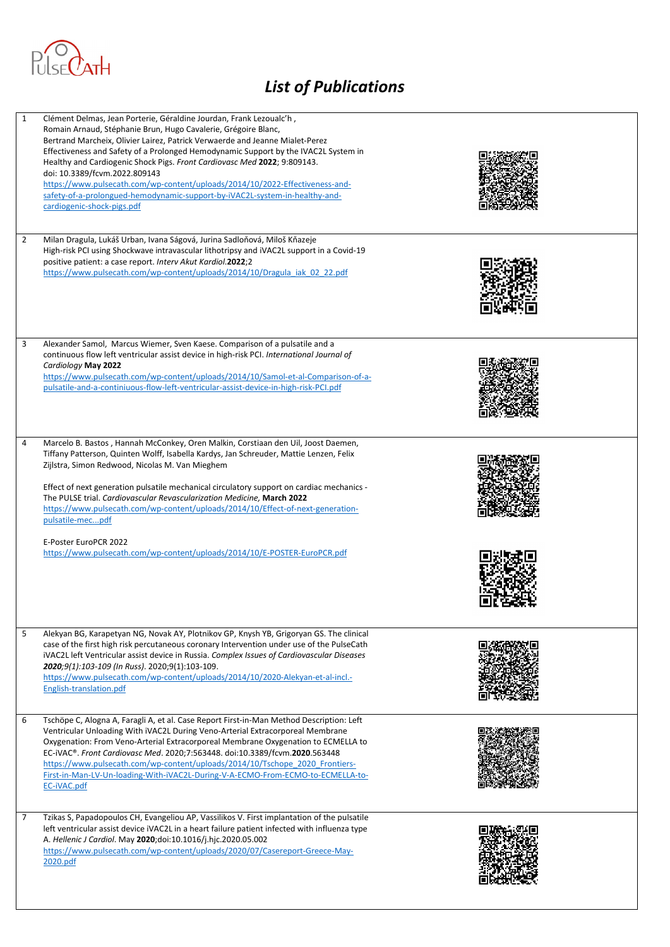

| 1 | Clément Delmas, Jean Porterie, Géraldine Jourdan, Frank Lezoualc'h,<br>Romain Arnaud, Stéphanie Brun, Hugo Cavalerie, Grégoire Blanc,<br>Bertrand Marcheix, Olivier Lairez, Patrick Verwaerde and Jeanne Mialet-Perez<br>Effectiveness and Safety of a Prolonged Hemodynamic Support by the IVAC2L System in<br>Healthy and Cardiogenic Shock Pigs. Front Cardiovasc Med 2022; 9:809143.<br>doi: 10.3389/fcvm.2022.809143<br>https://www.pulsecath.com/wp-content/uploads/2014/10/2022-Effectiveness-and-<br>safety-of-a-prolongued-hemodynamic-support-by-iVAC2L-system-in-healthy-and-<br>cardiogenic-shock-pigs.pdf |  |
|---|------------------------------------------------------------------------------------------------------------------------------------------------------------------------------------------------------------------------------------------------------------------------------------------------------------------------------------------------------------------------------------------------------------------------------------------------------------------------------------------------------------------------------------------------------------------------------------------------------------------------|--|
| 2 | Milan Dragula, Lukáš Urban, Ivana Ságová, Jurina Sadloňová, Miloš Kňazeje<br>High-risk PCI using Shockwave intravascular lithotripsy and iVAC2L support in a Covid-19<br>positive patient: a case report. Interv Akut Kardiol.2022;2<br>https://www.pulsecath.com/wp-content/uploads/2014/10/Dragula iak 02 22.pdf                                                                                                                                                                                                                                                                                                     |  |
| 3 | Alexander Samol, Marcus Wiemer, Sven Kaese. Comparison of a pulsatile and a<br>continuous flow left ventricular assist device in high-risk PCI. International Journal of<br>Cardiology May 2022<br>https://www.pulsecath.com/wp-content/uploads/2014/10/Samol-et-al-Comparison-of-a-<br>pulsatile-and-a-continiuous-flow-left-ventricular-assist-device-in-high-risk-PCI.pdf                                                                                                                                                                                                                                           |  |
| 4 | Marcelo B. Bastos, Hannah McConkey, Oren Malkin, Corstiaan den Uil, Joost Daemen,<br>Tiffany Patterson, Quinten Wolff, Isabella Kardys, Jan Schreuder, Mattie Lenzen, Felix<br>Zijlstra, Simon Redwood, Nicolas M. Van Mieghem<br>Effect of next generation pulsatile mechanical circulatory support on cardiac mechanics -<br>The PULSE trial. Cardiovascular Revascularization Medicine, March 2022<br>https://www.pulsecath.com/wp-content/uploads/2014/10/Effect-of-next-generation-<br>pulsatile-mecpdf                                                                                                           |  |
|   | E-Poster EuroPCR 2022<br>https://www.pulsecath.com/wp-content/uploads/2014/10/E-POSTER-EuroPCR.pdf                                                                                                                                                                                                                                                                                                                                                                                                                                                                                                                     |  |
| 5 | Alekyan BG, Karapetyan NG, Novak AY, Plotnikov GP, Knysh YB, Grigoryan GS. The clinical<br>case of the first high risk percutaneous coronary Intervention under use of the PulseCath<br>iVAC2L left Ventricular assist device in Russia. Complex Issues of Cardiovascular Diseases<br>2020;9(1):103-109 (In Russ). 2020;9(1):103-109.<br>https://www.pulsecath.com/wp-content/uploads/2014/10/2020-Alekyan-et-al-incl.-<br>English-translation.pdf                                                                                                                                                                     |  |
| 6 | Tschöpe C, Alogna A, Faragli A, et al. Case Report First-in-Man Method Description: Left<br>Ventricular Unloading With iVAC2L During Veno-Arterial Extracorporeal Membrane<br>Oxygenation: From Veno-Arterial Extracorporeal Membrane Oxygenation to ECMELLA to<br>EC-iVAC®. Front Cardiovasc Med. 2020;7:563448. doi:10.3389/fcvm.2020.563448<br>https://www.pulsecath.com/wp-content/uploads/2014/10/Tschope 2020 Frontiers-<br>First-in-Man-LV-Un-loading-With-iVAC2L-During-V-A-ECMO-From-ECMO-to-ECMELLA-to-<br>EC-iVAC.pdf                                                                                       |  |
| 7 | Tzikas S, Papadopoulos CH, Evangeliou AP, Vassilikos V. First implantation of the pulsatile<br>left ventricular assist device iVAC2L in a heart failure patient infected with influenza type<br>A. Hellenic J Cardiol. May 2020; doi:10.1016/j.hjc.2020.05.002<br>https://www.pulsecath.com/wp-content/uploads/2020/07/Casereport-Greece-May-<br>2020.pdf                                                                                                                                                                                                                                                              |  |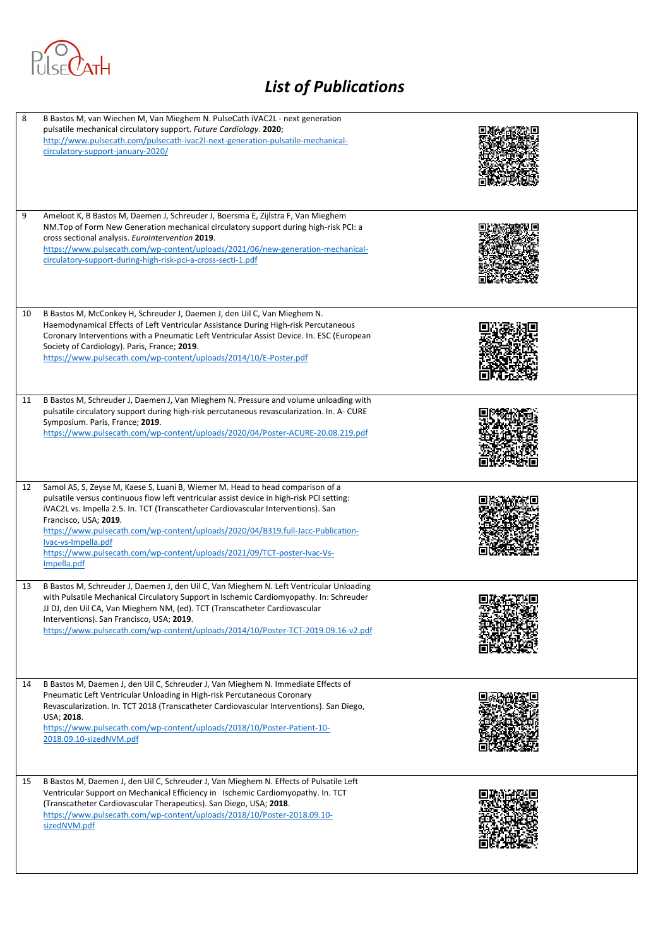

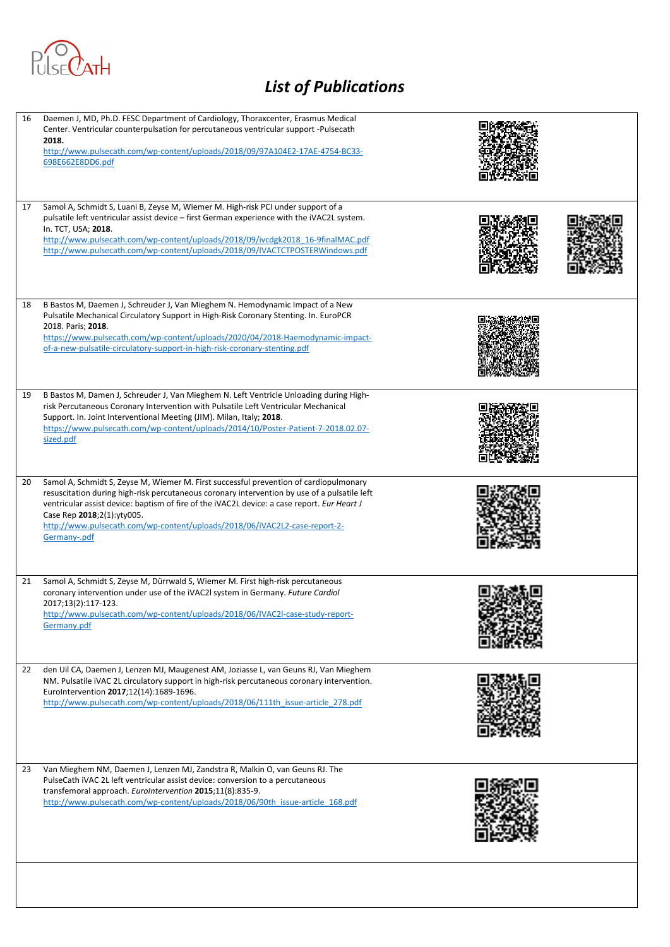

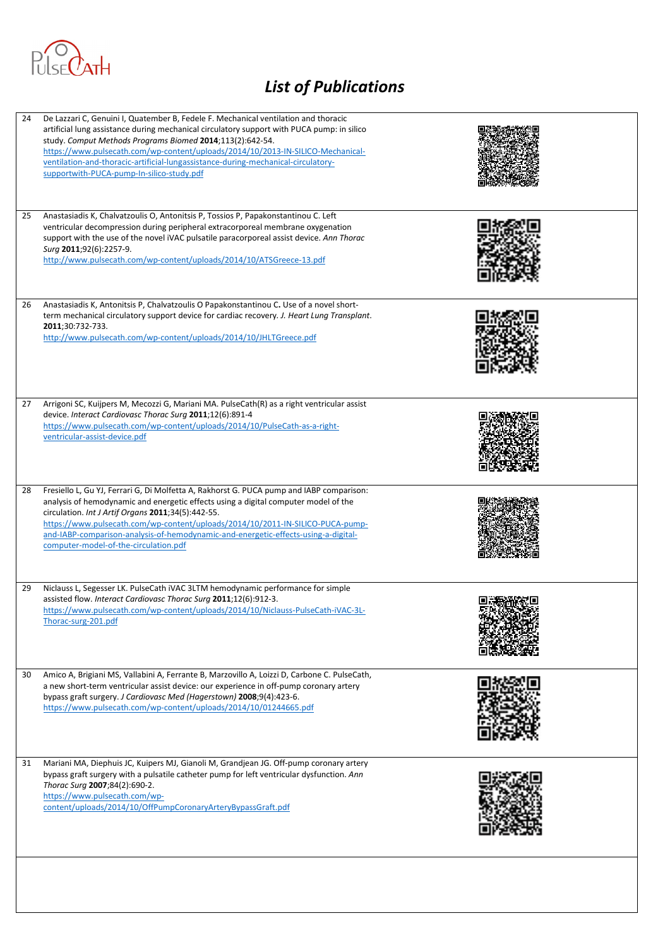

| 24 | De Lazzari C, Genuini I, Quatember B, Fedele F. Mechanical ventilation and thoracic<br>artificial lung assistance during mechanical circulatory support with PUCA pump: in silico<br>study. Comput Methods Programs Biomed 2014;113(2):642-54.<br>https://www.pulsecath.com/wp-content/uploads/2014/10/2013-IN-SILICO-Mechanical-<br>ventilation-and-thoracic-artificial-lungassistance-during-mechanical-circulatory-<br>supportwith-PUCA-pump-In-silico-study.pdf |  |
|----|---------------------------------------------------------------------------------------------------------------------------------------------------------------------------------------------------------------------------------------------------------------------------------------------------------------------------------------------------------------------------------------------------------------------------------------------------------------------|--|
| 25 | Anastasiadis K, Chalvatzoulis O, Antonitsis P, Tossios P, Papakonstantinou C. Left<br>ventricular decompression during peripheral extracorporeal membrane oxygenation<br>support with the use of the novel iVAC pulsatile paracorporeal assist device. Ann Thorac<br>Surg 2011;92(6):2257-9.<br>http://www.pulsecath.com/wp-content/uploads/2014/10/ATSGreece-13.pdf                                                                                                |  |
| 26 | Anastasiadis K, Antonitsis P, Chalvatzoulis O Papakonstantinou C. Use of a novel short-<br>term mechanical circulatory support device for cardiac recovery. J. Heart Lung Transplant.<br>2011;30:732-733.<br>http://www.pulsecath.com/wp-content/uploads/2014/10/JHLTGreece.pdf                                                                                                                                                                                     |  |
| 27 | Arrigoni SC, Kuijpers M, Mecozzi G, Mariani MA. PulseCath(R) as a right ventricular assist<br>device. Interact Cardiovasc Thorac Surg 2011;12(6):891-4<br>https://www.pulsecath.com/wp-content/uploads/2014/10/PulseCath-as-a-right-<br>ventricular-assist-device.pdf                                                                                                                                                                                               |  |
| 28 | Fresiello L, Gu YJ, Ferrari G, Di Molfetta A, Rakhorst G. PUCA pump and IABP comparison:<br>analysis of hemodynamic and energetic effects using a digital computer model of the<br>circulation. Int J Artif Organs 2011;34(5):442-55.<br>https://www.pulsecath.com/wp-content/uploads/2014/10/2011-IN-SILICO-PUCA-pump-<br>and-IABP-comparison-analysis-of-hemodynamic-and-energetic-effects-using-a-digital-<br>computer-model-of-the-circulation.pdf              |  |
| 29 | Niclauss L, Segesser LK. PulseCath iVAC 3LTM hemodynamic performance for simple<br>assisted flow. Interact Cardiovasc Thorac Surg 2011;12(6):912-3.<br>https://www.pulsecath.com/wp-content/uploads/2014/10/Niclauss-PulseCath-iVAC-3L-<br>Thorac-surg-201.pdf                                                                                                                                                                                                      |  |
| 30 | Amico A, Brigiani MS, Vallabini A, Ferrante B, Marzovillo A, Loizzi D, Carbone C. PulseCath,<br>a new short-term ventricular assist device: our experience in off-pump coronary artery<br>bypass graft surgery. J Cardiovasc Med (Hagerstown) 2008;9(4):423-6.<br>https://www.pulsecath.com/wp-content/uploads/2014/10/01244665.pdf                                                                                                                                 |  |
| 31 | Mariani MA, Diephuis JC, Kuipers MJ, Gianoli M, Grandjean JG. Off-pump coronary artery<br>bypass graft surgery with a pulsatile catheter pump for left ventricular dysfunction. Ann<br>Thorac Surg 2007;84(2):690-2.<br>https://www.pulsecath.com/wp-<br>content/uploads/2014/10/OffPumpCoronaryArteryBypassGraft.pdf                                                                                                                                               |  |